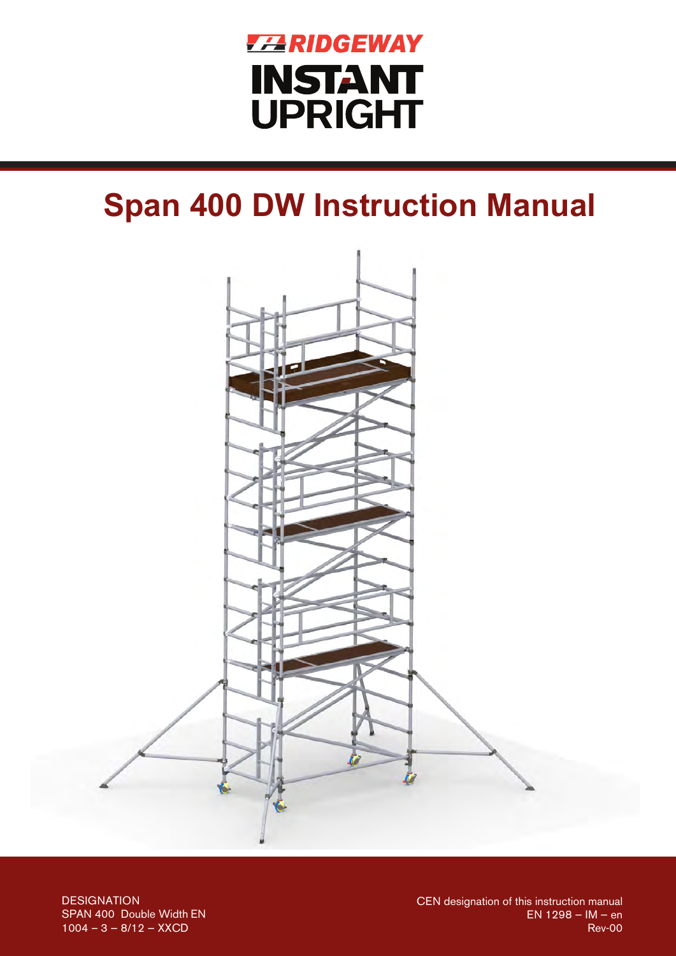

# **Span 400 DW Instruction Manual**



**DESIGNATION** SPAN 400 Double Width EN  $1004 - 3 - 8/12 - XXCD$ 

CEN designation of this instruction manual  $EN 1298 - IM - en$ **Rev-00**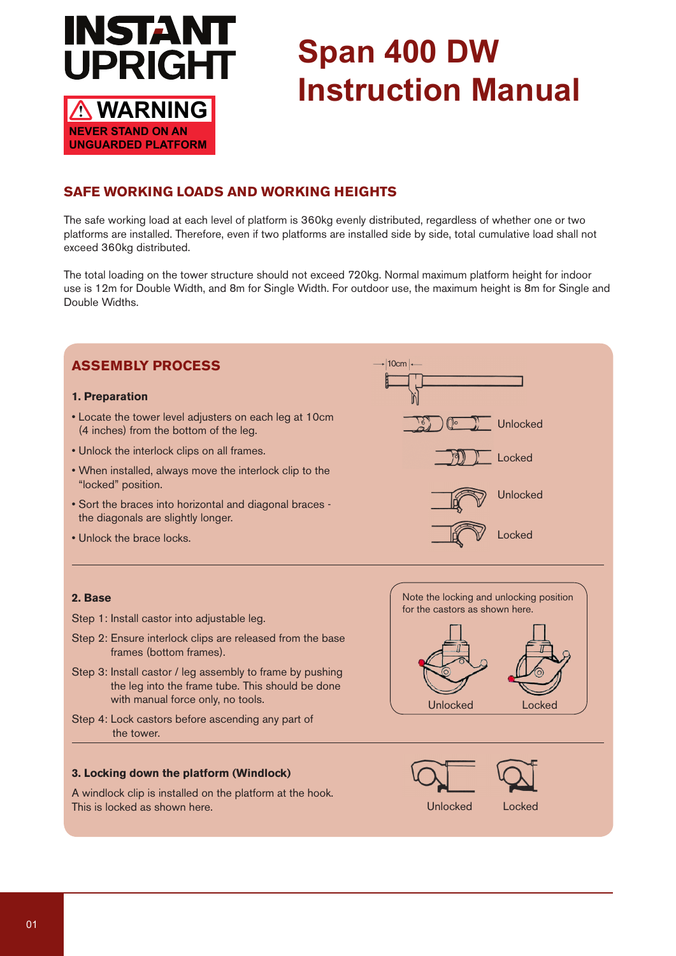

**UNGUARDED PLATFORM**

# **Span 400 DW Instruction Manual**

# **SAFE WORKING LOADS AND WORKING HEIGHTS**

The safe working load at each level of platform is 360kg evenly distributed, regardless of whether one or two platforms are installed. Therefore, even if two platforms are installed side by side, total cumulative load shall not exceed 360kg distributed.

The total loading on the tower structure should not exceed 720kg. Normal maximum platform height for indoor use is 12m for Double Width, and 8m for Single Width. For outdoor use, the maximum height is 8m for Single and Double Widths.

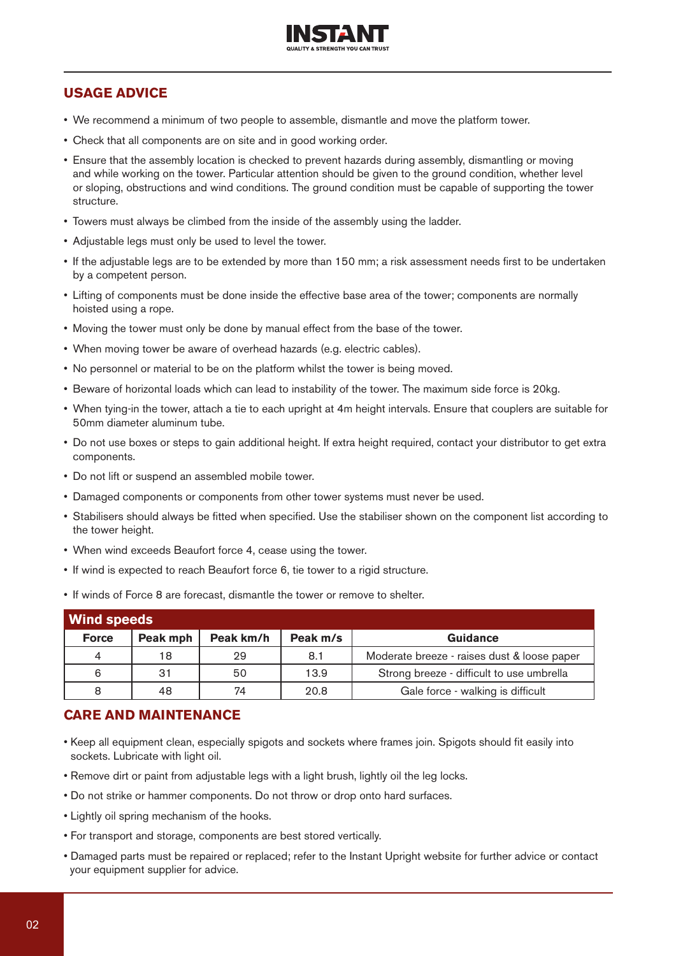

## **USAGE ADVICE**

- We recommend a minimum of two people to assemble, dismantle and move the platform tower.
- Check that all components are on site and in good working order.
- Ensure that the assembly location is checked to prevent hazards during assembly, dismantling or moving and while working on the tower. Particular attention should be given to the ground condition, whether level or sloping, obstructions and wind conditions. The ground condition must be capable of supporting the tower structure.
- Towers must always be climbed from the inside of the assembly using the ladder.
- Adjustable legs must only be used to level the tower.
- If the adjustable legs are to be extended by more than 150 mm; a risk assessment needs first to be undertaken by a competent person.
- Lifting of components must be done inside the effective base area of the tower; components are normally hoisted using a rope.
- Moving the tower must only be done by manual effect from the base of the tower.
- When moving tower be aware of overhead hazards (e.g. electric cables).
- No personnel or material to be on the platform whilst the tower is being moved.
- Beware of horizontal loads which can lead to instability of the tower. The maximum side force is 20kg.
- When tying-in the tower, attach a tie to each upright at 4m height intervals. Ensure that couplers are suitable for 50mm diameter aluminum tube.
- Do not use boxes or steps to gain additional height. If extra height required, contact your distributor to get extra components.
- Do not lift or suspend an assembled mobile tower.
- Damaged components or components from other tower systems must never be used.
- Stabilisers should always be fitted when specified. Use the stabiliser shown on the component list according to the tower height.
- When wind exceeds Beaufort force 4, cease using the tower.
- If wind is expected to reach Beaufort force 6, tie tower to a rigid structure.
- If winds of Force 8 are forecast, dismantle the tower or remove to shelter.

| <b>Wind speeds</b> |          |           |          |                                             |  |  |  |  |  |  |  |
|--------------------|----------|-----------|----------|---------------------------------------------|--|--|--|--|--|--|--|
| <b>Force</b>       | Peak mph | Peak km/h | Peak m/s | Guidance                                    |  |  |  |  |  |  |  |
| $\overline{4}$     | 18       | 29        | 8.1      | Moderate breeze - raises dust & loose paper |  |  |  |  |  |  |  |
| 6                  | 31       | 50        | 13.9     | Strong breeze - difficult to use umbrella   |  |  |  |  |  |  |  |
| 8                  | 48       | 74        | 20.8     | Gale force - walking is difficult           |  |  |  |  |  |  |  |

#### **CARE AND MAINTENANCE**

- Keep all equipment clean, especially spigots and sockets where frames join. Spigots should fit easily into sockets. Lubricate with light oil.
- Remove dirt or paint from adjustable legs with a light brush, lightly oil the leg locks.
- Do not strike or hammer components. Do not throw or drop onto hard surfaces.
- Lightly oil spring mechanism of the hooks.
- For transport and storage, components are best stored vertically.
- Damaged parts must be repaired or replaced; refer to the Instant Upright website for further advice or contact your equipment supplier for advice.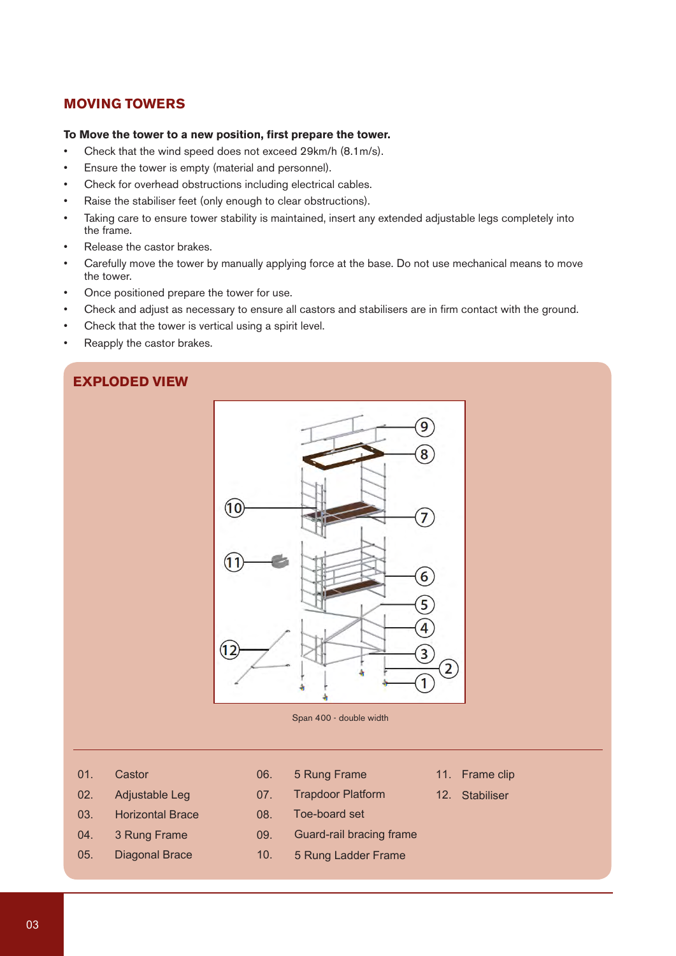## **MOVING TOWERS**

#### **To Move the tower to a new position, first prepare the tower.**

- Check that the wind speed does not exceed 29km/h (8.1m/s).
- Ensure the tower is empty (material and personnel).
- Check for overhead obstructions including electrical cables.
- Raise the stabiliser feet (only enough to clear obstructions).
- Taking care to ensure tower stability is maintained, insert any extended adjustable legs completely into the frame.
- Release the castor brakes.
- Carefully move the tower by manually applying force at the base. Do not use mechanical means to move the tower.
- Once positioned prepare the tower for use.
- Check and adjust as necessary to ensure all castors and stabilisers are in firm contact with the ground.
- Check that the tower is vertical using a spirit level.
- Reapply the castor brakes.

### **EXPLODED VIEW**



Span 400 - double width

- 01. Castor
- 02. Adjustable Leg
- 03. Horizontal Brace
- 04. 3 Rung Frame
- 05. Diagonal Brace
- 06. 5 Rung Frame
- 07. **Trapdoor Platform**
- 08. Toe-board set
- 09. Guard-rail bracing frame
- 5 Rung Ladder Frame 10.
- 11. Frame clip
- 12. Stabiliser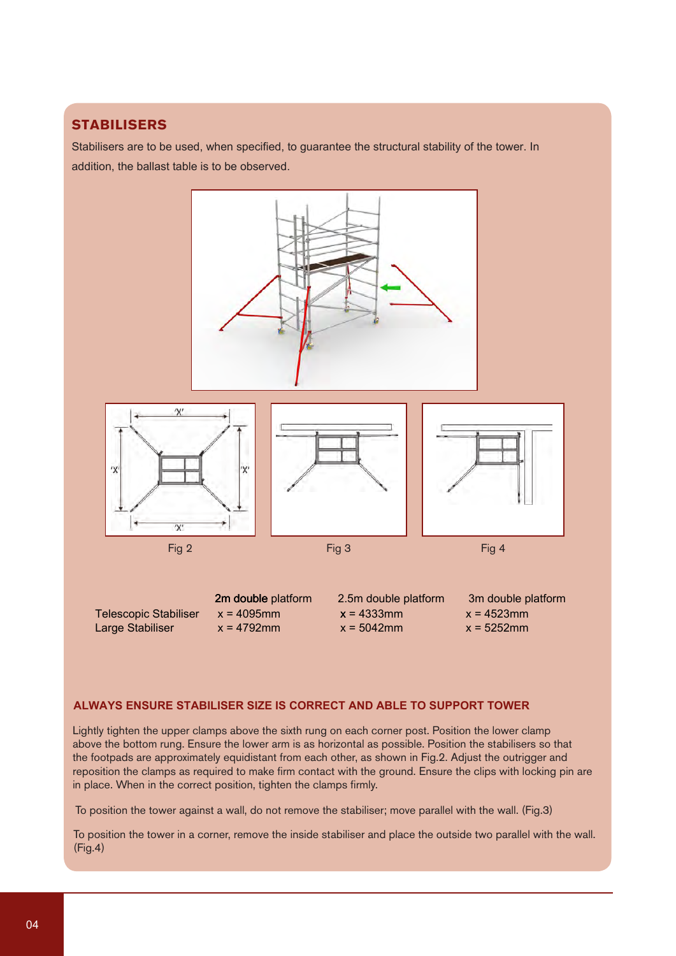# **STABILISERS**

Stabilisers are to be used, when specified, to guarantee the structural stability of the tower. In addition, the ballast table is to be observed.



## **ALWAYS ENSURE STABILISER SIZE IS CORRECT AND ABLE TO SUPPORT TOWER**

Lightly tighten the upper clamps above the sixth rung on each corner post. Position the lower clamp above the bottom rung. Ensure the lower arm is as horizontal as possible. Position the stabilisers so that the footpads are approximately equidistant from each other, as shown in Fig.2. Adjust the outrigger and reposition the clamps as required to make firm contact with the ground. Ensure the clips with locking pin are in place. When in the correct position, tighten the clamps firmly.

To position the tower against a wall, do not remove the stabiliser; move parallel with the wall. (Fig.3)

To position the tower in a corner, remove the inside stabiliser and place the outside two parallel with the wall. (Fig.4)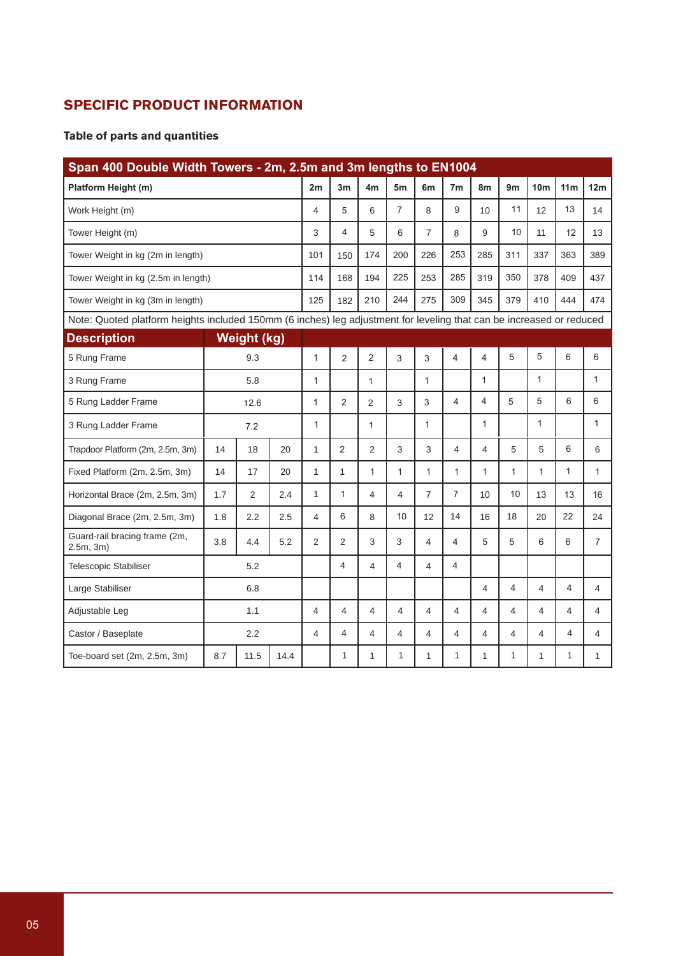# **SPECIFIC PRODUCT INFORMATION**

## **Table of parts and quantities**

| Span 400 Double Width Towers - 2m, 2.5m and 3m lengths to EN1004                                                     |     |                    |                |                |                |                |                |                |                |                |                |                 |                 |                |
|----------------------------------------------------------------------------------------------------------------------|-----|--------------------|----------------|----------------|----------------|----------------|----------------|----------------|----------------|----------------|----------------|-----------------|-----------------|----------------|
| Platform Height (m)                                                                                                  |     |                    |                | 2m             | 3m             | 4 <sub>m</sub> | 5 <sub>m</sub> | 6m             | 7 <sub>m</sub> | 8m             | 9 <sub>m</sub> | 10 <sub>m</sub> | 11 <sub>m</sub> | 12m            |
| Work Height (m)                                                                                                      |     |                    |                | 4              | 5              | 6              | $\overline{7}$ | 8              | 9              | 10             | 11             | 12              | 13              | 14             |
| Tower Height (m)                                                                                                     |     |                    |                | 3              | 4              | 5              | 6              | $\overline{7}$ | 8              | 9              | 10             | 11              | 12              | 13             |
| Tower Weight in kg (2m in length)                                                                                    |     |                    |                | 101            | 150            | 174            | 200            | 226            | 253            | 285            | 311            | 337             | 363             | 389            |
| Tower Weight in kg (2.5m in length)                                                                                  |     |                    |                | 114            | 168            | 194            | 225            | 253            | 285            | 319            | 350            | 378             | 409             | 437            |
| Tower Weight in kg (3m in length)                                                                                    |     |                    |                | 125            | 182            | 210            | 244            | 275            | 309            | 345            | 379            | 410             | 444             | 474            |
| Note: Quoted platform heights included 150mm (6 inches) leg adjustment for leveling that can be increased or reduced |     |                    |                |                |                |                |                |                |                |                |                |                 |                 |                |
| <b>Description</b>                                                                                                   |     | <b>Weight (kg)</b> |                |                |                |                |                |                |                |                |                |                 |                 |                |
| 5 Rung Frame                                                                                                         | 9.3 |                    | 1              | $\overline{2}$ | 2              | 3              | 3              | 4              | 4              | $\mathbf 5$    | 5              | 6               | 6               |                |
| 3 Rung Frame                                                                                                         | 5.8 |                    | 1              |                | $\mathbf{1}$   |                | 1              |                | 1              |                | 1              |                 | $\mathbf{1}$    |                |
| 5 Rung Ladder Frame<br>12.6                                                                                          |     | $\mathbf{1}$       | $\overline{2}$ | 2              | 3              | 3              | $\overline{4}$ | 4              | 5              | 5              | 6              | 6               |                 |                |
| 3 Rung Ladder Frame                                                                                                  | 7.2 |                    | $\mathbf{1}$   |                | 1              |                | 1              |                | 1              |                | 1              |                 | $\mathbf{1}$    |                |
| Trapdoor Platform (2m, 2.5m, 3m)                                                                                     | 14  | 18                 | 20             | $\mathbf{1}$   | 2              | $\overline{2}$ | 3              | 3              | 4              | 4              | 5              | 5               | 6               | 6              |
| Fixed Platform (2m, 2.5m, 3m)                                                                                        | 14  | 17                 | 20             | 1              | 1              | 1              | 1              | $\mathbf{1}$   | 1              | $\mathbf{1}$   | $\mathbf{1}$   | 1               | 1               | 1              |
| Horizontal Brace (2m, 2.5m, 3m)                                                                                      | 1.7 | $\overline{2}$     | 2.4            | 1              | 1              | 4              | 4              | $\overline{7}$ | 7              | 10             | 10             | 13              | 13              | 16             |
| Diagonal Brace (2m, 2.5m, 3m)                                                                                        | 1.8 | 2.2                | 2.5            | 4              | 6              | 8              | 10             | 12             | 14             | 16             | 18             | 20              | 22              | 24             |
| Guard-rail bracing frame (2m,<br>2.5m, 3m)                                                                           | 3.8 | 4.4                | 5.2            | $\overline{2}$ | $\overline{2}$ | 3              | 3              | 4              | 4              | 5              | 5              | 6               | 6               | $\overline{7}$ |
| <b>Telescopic Stabiliser</b>                                                                                         |     | 5.2                |                |                | 4              | 4              | 4              | $\overline{4}$ | 4              |                |                |                 |                 |                |
| Large Stabiliser                                                                                                     | 6.8 |                    |                |                |                |                |                |                | 4              | $\overline{4}$ | 4              | 4               | 4               |                |
| Adjustable Leg                                                                                                       | 1.1 |                    | 4              | $\overline{4}$ | 4              | 4              | 4              | 4              | 4              | 4              | 4              | 4               | 4               |                |
| Castor / Baseplate                                                                                                   |     | 2.2                |                | 4              | 4              | 4              | 4              | 4              | 4              | 4              | 4              | 4               | 4               | 4              |
| 8.7<br>Toe-board set (2m, 2.5m, 3m)<br>11.5<br>14.4                                                                  |     |                    | 1              | 1              | 1              | 1              | 1              | 1              | 1              | 1              | $\mathbf{1}$   | 1               |                 |                |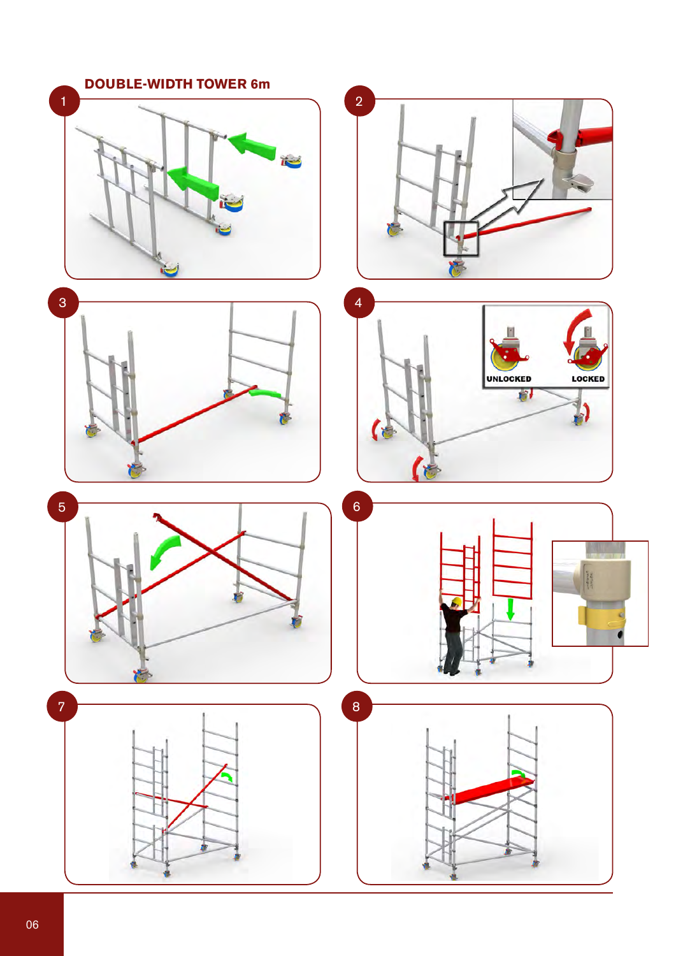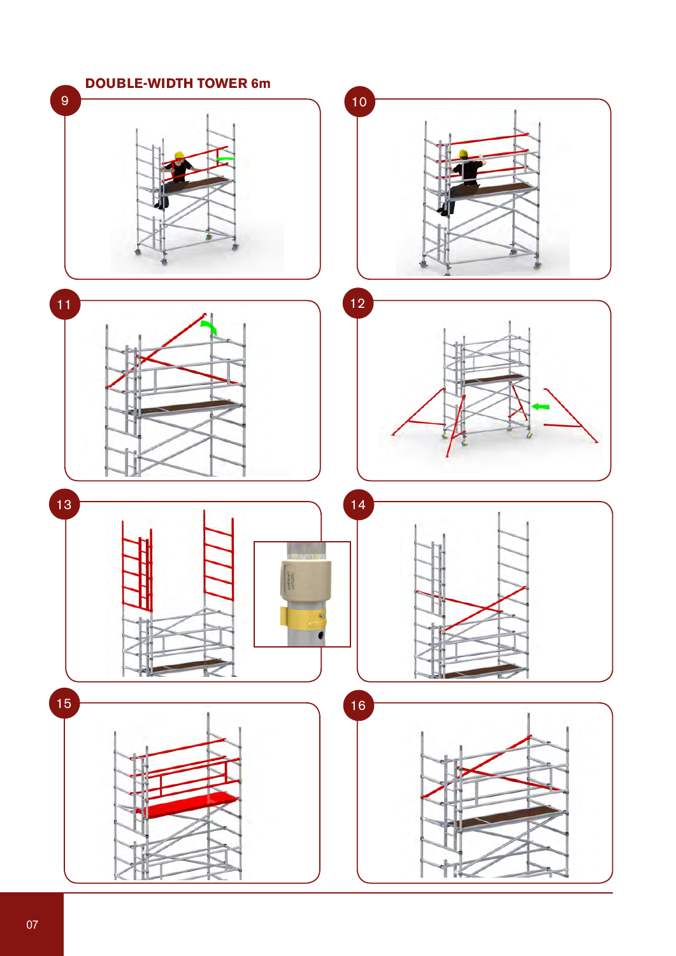![](_page_7_Figure_0.jpeg)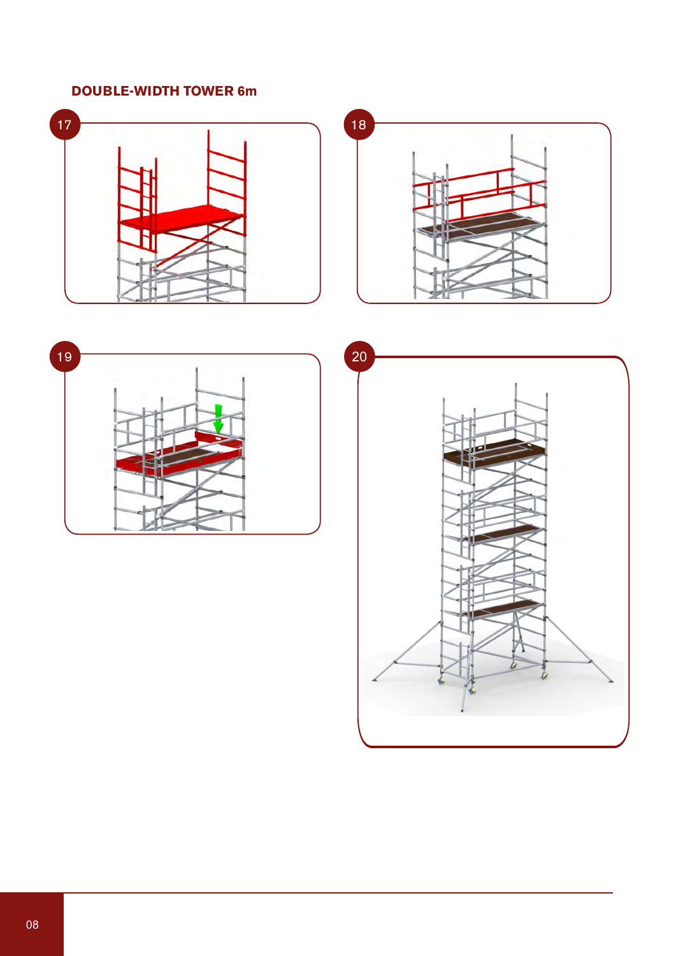# **DOUBLE-WIDTH TOWER 6m**

![](_page_8_Figure_1.jpeg)

![](_page_8_Figure_2.jpeg)

![](_page_8_Figure_3.jpeg)

![](_page_8_Figure_4.jpeg)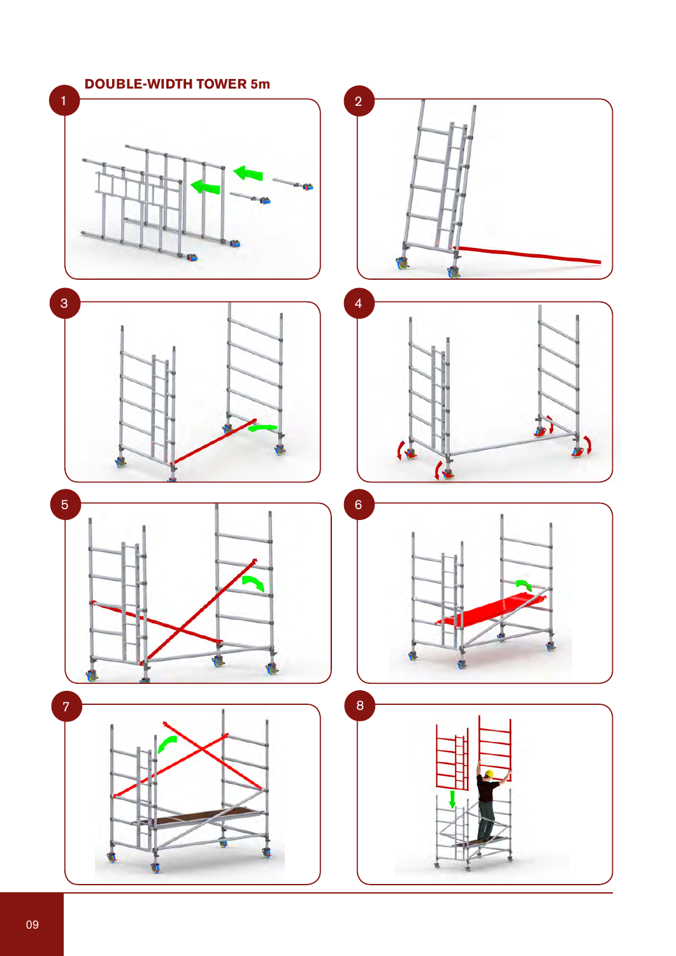![](_page_9_Figure_0.jpeg)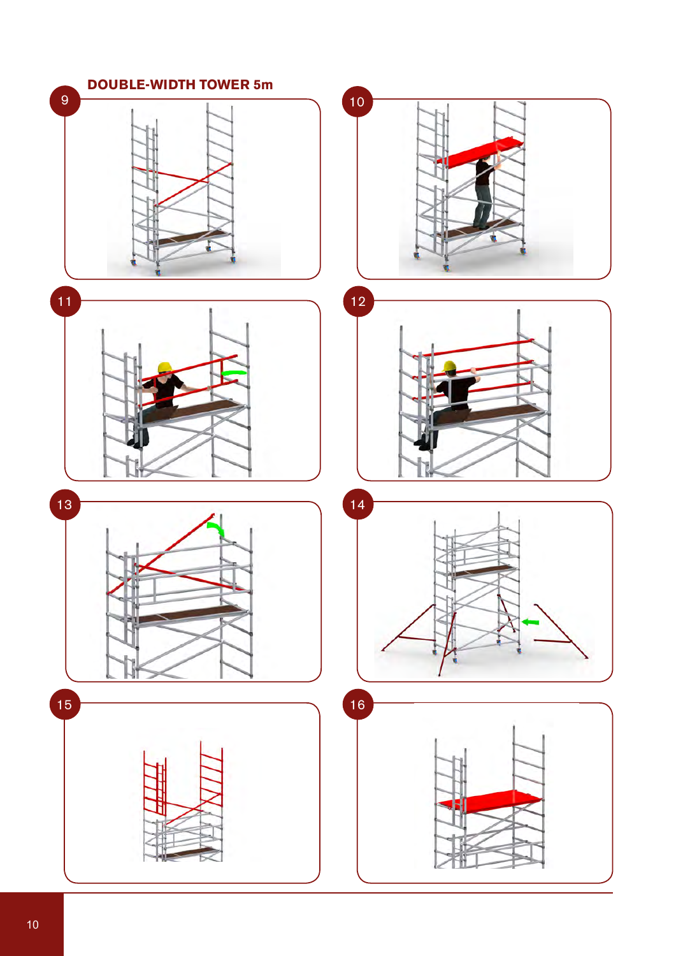![](_page_10_Figure_0.jpeg)